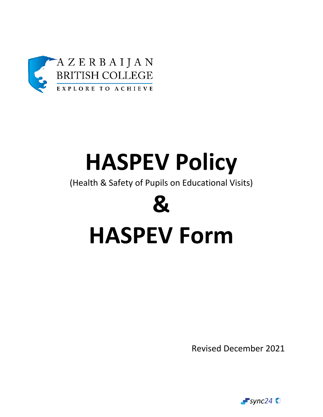

## **HASPEV Policy**

(Health & Safety of Pupils on Educational Visits)

# **& HASPEV Form**

Revised December 2021

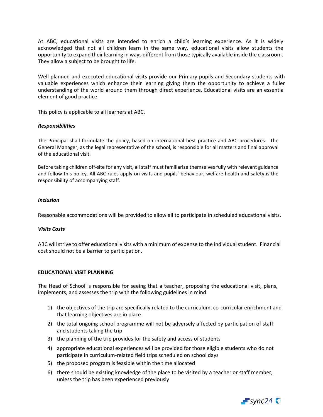At ABC, educational visits are intended to enrich a child's learning experience. As it is widely acknowledged that not all children learn in the same way, educational visits allow students the opportunity to expand their learning in ways different from those typically available inside the classroom. They allow a subject to be brought to life.

Well planned and executed educational visits provide our Primary pupils and Secondary students with valuable experiences which enhance their learning giving them the opportunity to achieve a fuller understanding of the world around them through direct experience. Educational visits are an essential element of good practice.

This policy is applicable to all learners at ABC.

#### *Responsibilities*

The Principal shall formulate the policy, based on international best practice and ABC procedures. The General Manager, as the legal representative of the school, is responsible for all matters and final approval of the educational visit.

Before taking children off-site for any visit, all staff must familiarize themselves fully with relevant guidance and follow this policy. All ABC rules apply on visits and pupils' behaviour, welfare health and safety is the responsibility of accompanying staff.

#### *Inclusion*

Reasonable accommodations will be provided to allow all to participate in scheduled educational visits.

#### *Visits Costs*

ABC will strive to offer educational visits with a minimum of expense to the individual student. Financial cost should not be a barrier to participation.

#### **EDUCATIONAL VISIT PLANNING**

The Head of School is responsible for seeing that a teacher, proposing the educational visit, plans, implements, and assesses the trip with the following guidelines in mind:

- 1) the objectives of the trip are specifically related to the curriculum, co-curricular enrichment and that learning objectives are in place
- 2) the total ongoing school programme will not be adversely affected by participation of staff and students taking the trip
- 3) the planning of the trip provides for the safety and access of students
- 4) appropriate educational experiences will be provided for those eligible students who do not participate in curriculum-related field trips scheduled on school days
- 5) the proposed program is feasible within the time allocated
- 6) there should be existing knowledge of the place to be visited by a teacher or staff member, unless the trip has been experienced previously

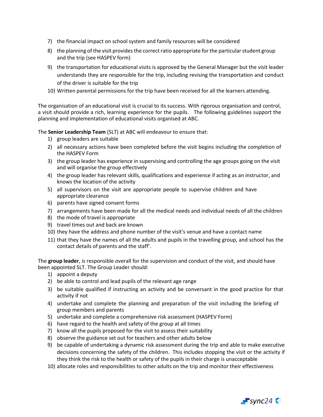- 7) the financial impact on school system and family resources will be considered
- 8) the planning of the visit provides the correct ratio appropriate for the particular student group and the trip (see HASPEV form)
- 9) the transportation for educational visits is approved by the General Manager but the visit leader understands they are responsible for the trip, including revising the transportation and conduct of the driver is suitable for the trip
- 10) Written parental permissions for the trip have been received for all the learners attending.

The organisation of an educational visit is crucial to its success. With rigorous organisation and control, a visit should provide a rich, learning experience for the pupils. The following guidelines support the planning and implementation of educational visits organised at ABC.

The **Senior Leadership Team** (SLT) at ABC will endeavour to ensure that:

- 1) group leaders are suitable
- 2) all necessary actions have been completed before the visit begins including the completion of the HASPEV Form
- 3) the group leader has experience in supervising and controlling the age groups going on the visit and will organise the group effectively
- 4) the group leader has relevant skills, qualifications and experience if acting as an instructor, and knows the location of the activity
- 5) all supervisors on the visit are appropriate people to supervise children and have appropriate clearance
- 6) parents have signed consent forms
- 7) arrangements have been made for all the medical needs and individual needs of all the children
- 8) the mode of travel is appropriate
- 9) travel times out and back are known
- 10) they have the address and phone number of the visit's venue and have a contact name
- 11) that they have the names of all the adults and pupils in the travelling group, and school has the contact details of parents and the staff'.

The **group leader**, is responsible overall for the supervision and conduct of the visit, and should have been appointed SLT. The Group Leader should:

- 1) appoint a deputy
- 2) be able to control and lead pupils of the relevant age range
- 3) be suitable qualified if instructing an activity and be conversant in the good practice for that activity if not
- 4) undertake and complete the planning and preparation of the visit including the briefing of group members and parents
- 5) undertake and complete a comprehensive risk assessment (HASPEV Form)
- 6) have regard to the health and safety of the group at all times
- 7) know all the pupils proposed for the visit to assess their suitability
- 8) observe the guidance set out for teachers and other adults below
- 9) be capable of undertaking a dynamic risk assessment during the trip and able to make executive decisions concerning the safety of the children. This includes stopping the visit or the activity if they think the risk to the health or safety of the pupils in their charge is unacceptable
- 10) allocate roles and responsibilities to other adults on the trip and monitor their effectiveness

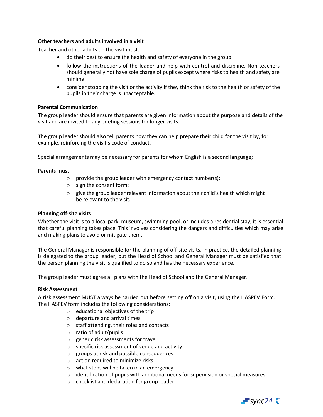#### **Other teachers and adults involved in a visit**

Teacher and other adults on the visit must:

- do their best to ensure the health and safety of everyone in the group
- follow the instructions of the leader and help with control and discipline. Non-teachers should generally not have sole charge of pupils except where risks to health and safety are minimal
- consider stopping the visit or the activity if they think the risk to the health or safety of the pupils in their charge is unacceptable.

#### **Parental Communication**

The group leader should ensure that parents are given information about the purpose and details of the visit and are invited to any briefing sessions for longer visits.

The group leader should also tell parents how they can help prepare their child for the visit by, for example, reinforcing the visit's code of conduct.

Special arrangements may be necessary for parents for whom English is a second language;

Parents must:

- $\circ$  provide the group leader with emergency contact number(s);
- o sign the consent form;
- $\circ$  give the group leader relevant information about their child's health which might be relevant to the visit.

#### **Planning off-site visits**

Whether the visit is to a local park, museum, swimming pool, or includes a residential stay, it is essential that careful planning takes place. This involves considering the dangers and difficulties which may arise and making plans to avoid or mitigate them.

The General Manager is responsible for the planning of off-site visits. In practice, the detailed planning is delegated to the group leader, but the Head of School and General Manager must be satisfied that the person planning the visit is qualified to do so and has the necessary experience.

The group leader must agree all plans with the Head of School and the General Manager.

#### **Risk Assessment**

A risk assessment MUST always be carried out before setting off on a visit, using the HASPEV Form. The HASPEV form includes the following considerations:

- $\circ$  educational objectives of the trip
- o departure and arrival times
- o staff attending, their roles and contacts
- o ratio of adult/pupils
- o generic risk assessments for travel
- o specific risk assessment of venue and activity
- o groups at risk and possible consequences
- o action required to minimize risks
- o what steps will be taken in an emergency
- $\circ$  identification of pupils with additional needs for supervision or special measures
- o checklist and declaration for group leader

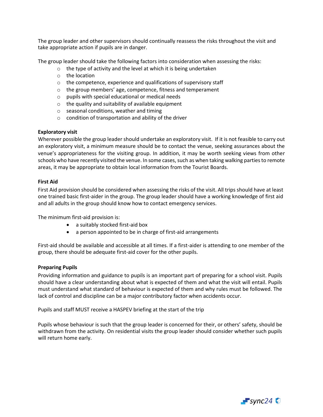The group leader and other supervisors should continually reassess the risks throughout the visit and take appropriate action if pupils are in danger.

The group leader should take the following factors into consideration when assessing the risks:

- $\circ$  the type of activity and the level at which it is being undertaken
- o the location
- o the competence, experience and qualifications of supervisory staff
- o the group members' age, competence, fitness and temperament
- o pupils with special educational or medical needs
- $\circ$  the quality and suitability of available equipment
- o seasonal conditions, weather and timing
- o condition of transportation and ability of the driver

#### **Exploratory visit**

Wherever possible the group leader should undertake an exploratory visit. If it is not feasible to carry out an exploratory visit, a minimum measure should be to contact the venue, seeking assurances about the venue's appropriateness for the visiting group. In addition, it may be worth seeking views from other schools who have recently visited the venue. In some cases, such as when taking walking parties to remote areas, it may be appropriate to obtain local information from the Tourist Boards.

#### **First Aid**

First Aid provision should be considered when assessing the risks of the visit. All trips should have at least one trained basic first-aider in the group. The group leader should have a working knowledge of first aid and all adults in the group should know how to contact emergency services.

The minimum first-aid provision is:

- a suitably stocked first-aid box
- a person appointed to be in charge of first-aid arrangements

First-aid should be available and accessible at all times. If a first-aider is attending to one member of the group, there should be adequate first-aid cover for the other pupils.

#### **Preparing Pupils**

Providing information and guidance to pupils is an important part of preparing for a school visit. Pupils should have a clear understanding about what is expected of them and what the visit will entail. Pupils must understand what standard of behaviour is expected of them and why rules must be followed. The lack of control and discipline can be a major contributory factor when accidents occur.

Pupils and staff MUST receive a HASPEV briefing at the start of the trip

Pupils whose behaviour is such that the group leader is concerned for their, or others' safety, should be withdrawn from the activity. On residential visits the group leader should consider whether such pupils will return home early.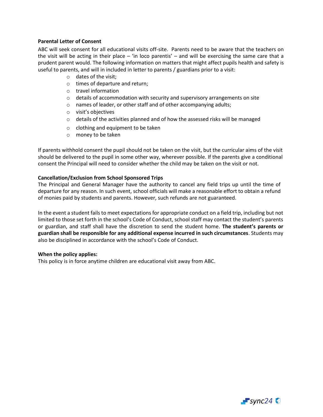#### **Parental Letter of Consent**

ABC will seek consent for all educational visits off-site. Parents need to be aware that the teachers on the visit will be acting in their place – 'in loco parentis' – and will be exercising the same care that a prudent parent would. The following information on matters that might affect pupils health and safety is useful to parents, and will in included in letter to parents / guardians prior to a visit:

- o dates of the visit;
- o times of departure and return;
- o travel information
- o details of accommodation with security and supervisory arrangements on site
- o names of leader, or other staff and of other accompanying adults;
- o visit's objectives
- o details of the activities planned and of how the assessed risks will be managed
- o clothing and equipment to be taken
- o money to be taken

If parents withhold consent the pupil should not be taken on the visit, but the curricular aims of the visit should be delivered to the pupil in some other way, wherever possible. If the parents give a conditional consent the Principal will need to consider whether the child may be taken on the visit or not.

#### **Cancellation/Exclusion from School Sponsored Trips**

The Principal and General Manager have the authority to cancel any field trips up until the time of departure for any reason. In such event, school officials will make a reasonable effort to obtain a refund of monies paid by students and parents. However, such refunds are not guaranteed.

In the event a student fails to meet expectations for appropriate conduct on a field trip, including but not limited to those set forth in the school's Code of Conduct, school staff may contact the student's parents or guardian, and staff shall have the discretion to send the student home. **The student's parents or guardian shall be responsible for any additional expense incurred in such circumstances**. Students may also be disciplined in accordance with the school's Code of Conduct.

#### **When the policy applies:**

This policy is in force anytime children are educational visit away from ABC.

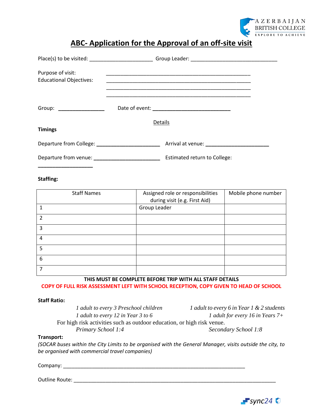

### **ABC- Application for the Approval of an off-site visit**

| Purpose of visit:<br><b>Educational Objectives:</b> | <u> 1989 - Johann John Stoff, deutscher Stoffen und der Stoffen und der Stoffen und der Stoffen und der Stoffen</u><br><u> 1990 - John Harry Harry Harry Harry Harry Harry Harry Harry Harry Harry Harry Harry Harry Harry Harry Harry</u> |  |  |
|-----------------------------------------------------|--------------------------------------------------------------------------------------------------------------------------------------------------------------------------------------------------------------------------------------------|--|--|
| Group: _______________                              |                                                                                                                                                                                                                                            |  |  |
| <b>Timings</b>                                      | Details                                                                                                                                                                                                                                    |  |  |
|                                                     |                                                                                                                                                                                                                                            |  |  |
|                                                     |                                                                                                                                                                                                                                            |  |  |

#### **Staffing:**

| <b>Staff Names</b> | Assigned role or responsibilities<br>during visit (e.g. First Aid) | Mobile phone number |
|--------------------|--------------------------------------------------------------------|---------------------|
|                    | Group Leader                                                       |                     |
| $\overline{2}$     |                                                                    |                     |
| 3                  |                                                                    |                     |
| 4                  |                                                                    |                     |
| 5                  |                                                                    |                     |
| 6                  |                                                                    |                     |
|                    |                                                                    |                     |

**THIS MUST BE COMPLETE BEFORE TRIP WITH ALL STAFF DETAILS COPY OF FULL RISK ASSESSMENT LEFT WITH SCHOOL RECEPTION, COPY GIVEN TO HEAD OF SCHOOL**

#### **Staff Ratio:**

*1 adult to every 3 Preschool children 1 adult to every 6 in Year 1 & 2 students 1 adult to every 12 in Year 3 to 6 1 adult for every 16 in Years 7+* For high risk activities such as outdoor education, or high risk venue. *Primary School 1:4 Secondary School 1:8*

#### **Transport:**

*(SOCAR buses within the City Limits to be organised with the General Manager, visits outside the city, to be organised with commercial travel companies)*

Company: \_\_\_\_\_\_\_\_\_\_\_\_\_\_\_\_\_\_\_\_\_\_\_\_\_\_\_\_\_\_\_\_\_\_\_\_\_\_\_\_\_\_\_\_\_\_\_\_\_\_\_\_\_\_\_\_\_\_\_\_\_\_\_

#### Outline Route: \_\_\_\_\_\_\_\_\_\_\_\_\_\_\_\_\_\_\_\_\_\_\_\_\_\_\_\_\_\_\_\_\_\_\_\_\_\_\_\_\_\_\_\_\_\_\_\_\_\_\_\_\_\_\_\_\_\_\_\_\_\_\_\_\_\_\_\_\_\_

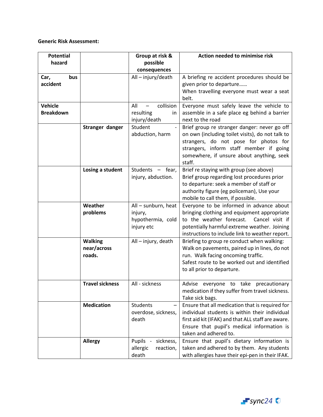#### **Generic Risk Assessment:**

| <b>Potential</b><br>hazard         |                                         | Group at risk &<br>possible                                       | Action needed to minimise risk                                                                                                                                                                                                              |
|------------------------------------|-----------------------------------------|-------------------------------------------------------------------|---------------------------------------------------------------------------------------------------------------------------------------------------------------------------------------------------------------------------------------------|
|                                    |                                         | consequences                                                      |                                                                                                                                                                                                                                             |
| Car,<br>bus<br>accident            |                                         | All-injury/death                                                  | A briefing re accident procedures should be<br>given prior to departure<br>When travelling everyone must wear a seat<br>belt.                                                                                                               |
| <b>Vehicle</b><br><b>Breakdown</b> |                                         | collision<br>All<br>resulting<br>in<br>injury/death               | Everyone must safely leave the vehicle to<br>assemble in a safe place eg behind a barrier<br>next to the road                                                                                                                               |
|                                    | Stranger danger                         | Student<br>abduction, harm                                        | Brief group re stranger danger: never go off<br>on own (including toilet visits), do not talk to<br>strangers, do not pose for photos for<br>strangers, inform staff member if going<br>somewhere, if unsure about anything, seek<br>staff. |
|                                    | Losing a student                        | Students - fear,<br>injury, abduction.                            | Brief re staying with group (see above)<br>Brief group regarding lost procedures prior<br>to departure: seek a member of staff or<br>authority figure (eg policeman), Use your<br>mobile to call them, if possible.                         |
|                                    | Weather<br>problems                     | All - sunburn, heat<br>injury,<br>hypothermia, cold<br>injury etc | Everyone to be informed in advance about<br>bringing clothing and equipment appropriate<br>Cancel visit if<br>to the weather forecast.<br>potentially harmful extreme weather. Joining<br>instructions to include link to weather report.   |
|                                    | <b>Walking</b><br>near/across<br>roads. | All - injury, death                                               | Briefing to group re conduct when walking:<br>Walk on pavements, paired up in lines, do not<br>run. Walk facing oncoming traffic.<br>Safest route to be worked out and identified<br>to all prior to departure.                             |
|                                    | <b>Travel sickness</b>                  | All - sickness                                                    | Advise everyone to take precautionary<br>medication if they suffer from travel sickness.<br>Take sick bags.                                                                                                                                 |
|                                    | <b>Medication</b>                       | <b>Students</b><br>overdose, sickness,<br>death                   | Ensure that all medication that is required for<br>individual students is within their individual<br>first aid kit (IFAK) and that ALL staff are aware.<br>Ensure that pupil's medical information is<br>taken and adhered to.              |
|                                    | <b>Allergy</b>                          | Pupils -<br>sickness,<br>allergic<br>reaction,<br>death           | Ensure that pupil's dietary information is<br>taken and adhered to by them. Any students<br>with allergies have their epi-pen in their IFAK.                                                                                                |

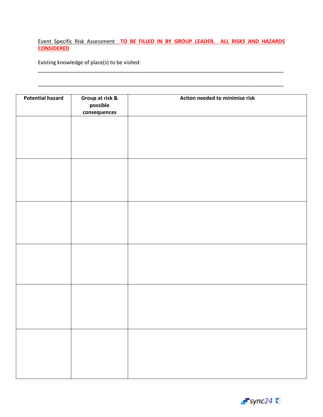#### Event Specific Risk Assessment **TO BE FILLED IN BY GROUP LEADER. ALL RISKS AND HAZARDS CONSIDERED**

\_\_\_\_\_\_\_\_\_\_\_\_\_\_\_\_\_\_\_\_\_\_\_\_\_\_\_\_\_\_\_\_\_\_\_\_\_\_\_\_\_\_\_\_\_\_\_\_\_\_\_\_\_\_\_\_\_\_\_\_\_\_\_\_\_\_\_\_\_\_\_\_\_\_\_\_\_\_\_\_\_\_\_\_\_

\_\_\_\_\_\_\_\_\_\_\_\_\_\_\_\_\_\_\_\_\_\_\_\_\_\_\_\_\_\_\_\_\_\_\_\_\_\_\_\_\_\_\_\_\_\_\_\_\_\_\_\_\_\_\_\_\_\_\_\_\_\_\_\_\_\_\_\_\_\_\_\_\_\_\_\_\_\_\_\_\_\_\_\_\_

Existing knowledge of place(s) to be visited:

| <b>Potential hazard</b> | Group at risk &<br>possible<br>consequences | Action needed to minimise risk |
|-------------------------|---------------------------------------------|--------------------------------|
|                         |                                             |                                |
|                         |                                             |                                |
|                         |                                             |                                |
|                         |                                             |                                |
|                         |                                             |                                |
|                         |                                             |                                |
|                         |                                             |                                |
|                         |                                             |                                |
|                         |                                             |                                |
|                         |                                             |                                |
|                         |                                             |                                |
|                         |                                             |                                |